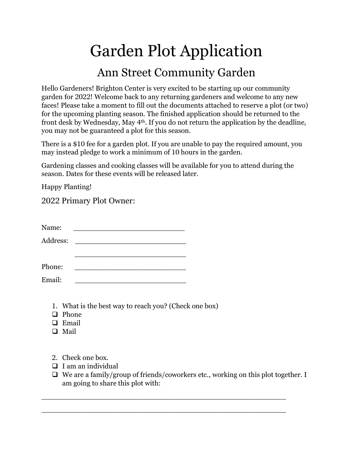## Garden Plot Application Ann Street Community Garden

Hello Gardeners! Brighton Center is very excited to be starting up our community garden for 2022! Welcome back to any returning gardeners and welcome to any new faces! Please take a moment to fill out the documents attached to reserve a plot (or two) for the upcoming planting season. The finished application should be returned to the front desk by Wednesday, May 4th. If you do not return the application by the deadline, you may not be guaranteed a plot for this season.

There is a \$10 fee for a garden plot. If you are unable to pay the required amount, you may instead pledge to work a minimum of 10 hours in the garden.

Gardening classes and cooking classes will be available for you to attend during the season. Dates for these events will be released later.

Happy Planting!

2022 Primary Plot Owner:

| Name:    | <u> 1980 - Jan Samuel Barbara, martin d</u> |                                                                                                                      |  |
|----------|---------------------------------------------|----------------------------------------------------------------------------------------------------------------------|--|
| Address: |                                             | <u> 1980 - Jan Stein Stein Stein Stein Stein Stein Stein Stein Stein Stein Stein Stein Stein Stein Stein Stein S</u> |  |
|          |                                             |                                                                                                                      |  |
|          |                                             |                                                                                                                      |  |
| Phone:   |                                             |                                                                                                                      |  |
| Email:   |                                             |                                                                                                                      |  |

- 1. What is the best way to reach you? (Check one box)
- $\Box$  Phone
- **Email**
- □ Mail
- 2. Check one box.
- $\Box$  I am an individual
- $\Box$  We are a family/group of friends/coworkers etc., working on this plot together. I am going to share this plot with:

\_\_\_\_\_\_\_\_\_\_\_\_\_\_\_\_\_\_\_\_\_\_\_\_\_\_\_\_\_\_\_\_\_\_\_\_\_\_\_\_\_\_\_\_\_\_\_\_\_\_\_\_\_\_\_

\_\_\_\_\_\_\_\_\_\_\_\_\_\_\_\_\_\_\_\_\_\_\_\_\_\_\_\_\_\_\_\_\_\_\_\_\_\_\_\_\_\_\_\_\_\_\_\_\_\_\_\_\_\_\_